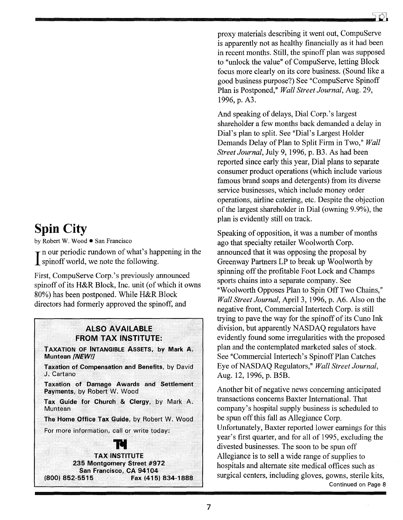## **Spin City**

by Robert W. Wood • San Francisco

 $\mathbf{\tau}$  n our periodic rundown of what's happening in the spinoff world, we note the following.

First, CompuServe Corp.'s previously announced spinoff of its H&R Block, Inc. unit (of which it owns 80%) has been postponed. While H&R Block directors had formerly approved the spinoff, and

## **ALSO AVAILABLE FROM TAX INSTITUTE:**

TAXATION OF INTANGIBLE ASSETS, by Mark A. Muntean [NEW!]

Taxation of Compensation and Benefits, by David J. Cartano

**Taxation of Damage Awards and Settlement** Payments, by Robert W. Wood

Tax Guide for Church & Clergy, by Mark A. Muntean

The Home Office Tax Guide, by Robert W. Wood

For more information, call or write today:

**TAX INSTITUTE** 235 Montgomery Street #972 San Francisco, CA 94104 Fax (415) 834-1888 (800) 852-5515

proxy materials describing it went out. CompuServe is apparently not as healthy financially as it had been in recent months. Still, the spinoff plan was supposed to "unlock the value" of CompuServe, letting Block focus more clearly on its core business. (Sound like a good business purpose?) See "CompuServe Spinoff Plan is Postponed," Wall Street Journal, Aug. 29, 1996, p. A3.

And speaking of delays, Dial Corp.'s largest shareholder a few months back demanded a delay in Dial's plan to split. See "Dial's Largest Holder Demands Delay of Plan to Split Firm in Two," Wall Street Journal, July 9, 1996, p. B3. As had been reported since early this year, Dial plans to separate consumer product operations (which include various famous brand soaps and detergents) from its diverse service businesses, which include money order operations, airline catering, etc. Despite the objection of the largest shareholder in Dial (owning 9.9%), the plan is evidently still on track.

Speaking of opposition, it was a number of months ago that specialty retailer Woolworth Corp. announced that it was opposing the proposal by Greenway Partners LP to break up Woolworth by spinning off the profitable Foot Lock and Champs sports chains into a separate company. See "Woolworth Opposes Plan to Spin Off Two Chains," Wall Street Journal, April 3, 1996, p. A6. Also on the negative front, Commercial Intertech Corp. is still trying to pave the way for the spinoff of its Cuno Ink division, but apparently NASDAO regulators have evidently found some irregularities with the proposed plan and the contemplated marketed sales of stock. See "Commercial Intertech's Spinoff Plan Catches Eye of NASDAQ Regulators," Wall Street Journal, Aug. 12, 1996, p. B5B.

Another bit of negative news concerning anticipated transactions concerns Baxter International. That company's hospital supply business is scheduled to be spun off this fall as Allegiance Corp. Unfortunately, Baxter reported lower earnings for this year's first quarter, and for all of 1995, excluding the divested businesses. The soon to be spun off Allegiance is to sell a wide range of supplies to hospitals and alternate site medical offices such as surgical centers, including gloves, gowns, sterile kits, Continued on Page 8